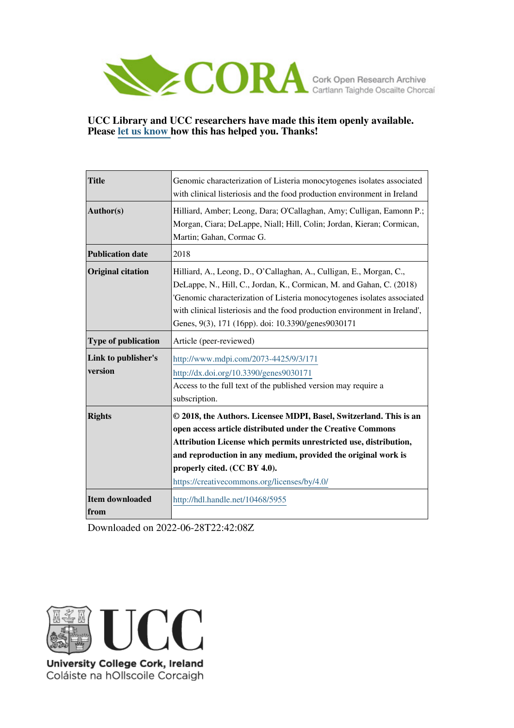

## **UCC Library and UCC researchers have made this item openly available. Please [let us know h](https://libguides.ucc.ie/openaccess/impact?suffix=5955&title=Genomic characterization of Listeria monocytogenes isolates associated with clinical listeriosis and the food production environment in Ireland)ow this has helped you. Thanks!**

| <b>Title</b>                   | Genomic characterization of Listeria monocytogenes isolates associated<br>with clinical listeriosis and the food production environment in Ireland                                                                                                                                                                                                         |
|--------------------------------|------------------------------------------------------------------------------------------------------------------------------------------------------------------------------------------------------------------------------------------------------------------------------------------------------------------------------------------------------------|
| Author(s)                      | Hilliard, Amber; Leong, Dara; O'Callaghan, Amy; Culligan, Eamonn P.;<br>Morgan, Ciara; DeLappe, Niall; Hill, Colin; Jordan, Kieran; Cormican,<br>Martin; Gahan, Cormac G.                                                                                                                                                                                  |
| <b>Publication date</b>        | 2018                                                                                                                                                                                                                                                                                                                                                       |
| <b>Original citation</b>       | Hilliard, A., Leong, D., O'Callaghan, A., Culligan, E., Morgan, C.,<br>DeLappe, N., Hill, C., Jordan, K., Cormican, M. and Gahan, C. (2018)<br>'Genomic characterization of Listeria monocytogenes isolates associated<br>with clinical listeriosis and the food production environment in Ireland',<br>Genes, 9(3), 171 (16pp). doi: 10.3390/genes9030171 |
| Type of publication            | Article (peer-reviewed)                                                                                                                                                                                                                                                                                                                                    |
| Link to publisher's<br>version | http://www.mdpi.com/2073-4425/9/3/171<br>http://dx.doi.org/10.3390/genes9030171<br>Access to the full text of the published version may require a<br>subscription.                                                                                                                                                                                         |
| <b>Rights</b>                  | © 2018, the Authors. Licensee MDPI, Basel, Switzerland. This is an<br>open access article distributed under the Creative Commons<br>Attribution License which permits unrestricted use, distribution,<br>and reproduction in any medium, provided the original work is<br>properly cited. (CC BY 4.0).<br>https://creativecommons.org/licenses/by/4.0/     |
| <b>Item downloaded</b><br>from | http://hdl.handle.net/10468/5955                                                                                                                                                                                                                                                                                                                           |

Downloaded on 2022-06-28T22:42:08Z



University College Cork, Ireland Coláiste na hOllscoile Corcaigh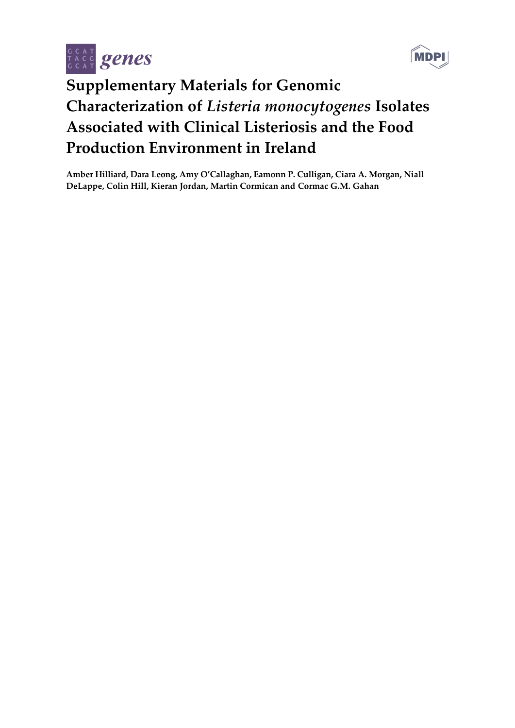



## **Supplementary Materials for Genomic Characterization of** *Listeria monocytogenes* **Isolates Associated with Clinical Listeriosis and the Food Production Environment in Ireland**

**Amber Hilliard, Dara Leong, Amy O'Callaghan, Eamonn P. Culligan, Ciara A. Morgan, Niall DeLappe, Colin Hill, Kieran Jordan, Martin Cormican and Cormac G.M. Gahan**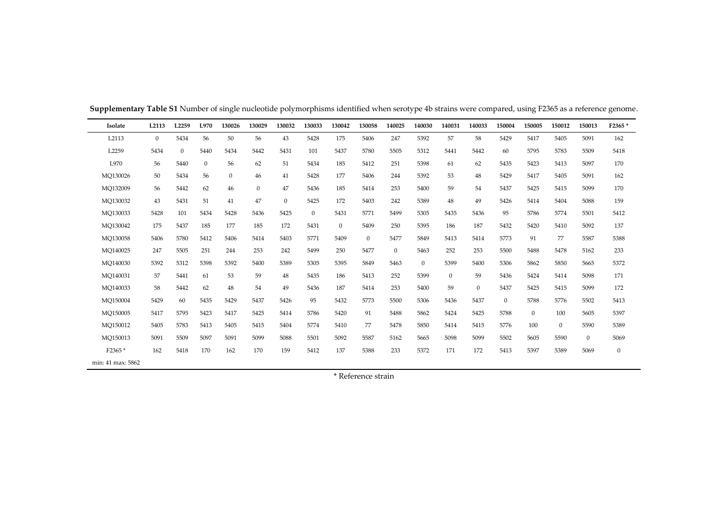| Isolate           | L2113        | L <sub>2259</sub> | L970         | 130026       | 130029       | 130032         | 130033           | 130042       | 130058       | 140025       | 140030       | 140031           | 140033         | 150004         | 150005       | 150012           | 150013       | F2365*           |
|-------------------|--------------|-------------------|--------------|--------------|--------------|----------------|------------------|--------------|--------------|--------------|--------------|------------------|----------------|----------------|--------------|------------------|--------------|------------------|
| L2113             | $\mathbf{0}$ | 5434              | 56           | 50           | 56           | 43             | 5428             | 175          | 5406         | 247          | 5392         | 57               | 58             | 5429           | 5417         | 5405             | 5091         | 162              |
| L2259             | 5434         | $\mathbf{0}$      | 5440         | 5434         | 5442         | 5431           | 101              | 5437         | 5780         | 5505         | 5312         | 5441             | 5442           | 60             | 5795         | 5783             | 5509         | 5418             |
| L970              | 56           | 5440              | $\mathbf{0}$ | 56           | 62           | 51             | 5434             | 185          | 5412         | 251          | 5398         | 61               | 62             | 5435           | 5423         | 5413             | 5097         | 170              |
| MO130026          | 50           | 5434              | 56           | $\mathbf{0}$ | 46           | 41             | 5428             | 177          | 5406         | 244          | 5392         | 53               | 48             | 5429           | 5417         | 5405             | 5091         | 162              |
| MO132009          | 56           | 5442              | 62           | 46           | $\mathbf{0}$ | 47             | 5436             | 185          | 5414         | 253          | 5400         | 59               | 54             | 5437           | 5425         | 5415             | 5099         | 170              |
| MO130032          | 43           | 5431              | 51           | 41           | 47           | $\overline{0}$ | 5425             | 172          | 5403         | 242          | 5389         | 48               | 49             | 5426           | 5414         | 5404             | 5088         | 159              |
| MO130033          | 5428         | 101               | 5434         | 5428         | 5436         | 5425           | $\boldsymbol{0}$ | 5431         | 5771         | 5499         | 5305         | 5435             | 5436           | 95             | 5786         | 5774             | 5501         | 5412             |
| MO130042          | 175          | 5437              | 185          | 177          | 185          | 172            | 5431             | $\mathbf{0}$ | 5409         | 250          | 5395         | 186              | 187            | 5432           | 5420         | 5410             | 5092         | 137              |
| MO130058          | 5406         | 5780              | 5412         | 5406         | 5414         | 5403           | 5771             | 5409         | $\mathbf{0}$ | 5477         | 5849         | 5413             | 5414           | 5773           | 91           | 77               | 5587         | 5388             |
| MO140025          | 247          | 5505              | 251          | 244          | 253          | 242            | 5499             | 250          | 5477         | $\mathbf{0}$ | 5463         | 252              | 253            | 5500           | 5488         | 5478             | 5162         | 233              |
| MO140030          | 5392         | 5312              | 5398         | 5392         | 5400         | 5389           | 5305             | 5395         | 5849         | 5463         | $\mathbf{0}$ | 5399             | 5400           | 5306           | 5862         | 5850             | 5665         | 5372             |
| MO140031          | 57           | 5441              | 61           | 53           | 59           | 48             | 5435             | 186          | 5413         | 252          | 5399         | $\boldsymbol{0}$ | 59             | 5436           | 5424         | 5414             | 5098         | 171              |
| MO140033          | 58           | 5442              | 62           | 48           | 54           | 49             | 5436             | 187          | 5414         | 253          | 5400         | 59               | $\overline{0}$ | 5437           | 5425         | 5415             | 5099         | 172              |
| MO150004          | 5429         | 60                | 5435         | 5429         | 5437         | 5426           | 95               | 5432         | 5773         | 5500         | 5306         | 5436             | 5437           | $\overline{0}$ | 5788         | 5776             | 5502         | 5413             |
| MO150005          | 5417         | 5795              | 5423         | 5417         | 5425         | 5414           | 5786             | 5420         | 91           | 5488         | 5862         | 5424             | 5425           | 5788           | $\mathbf{0}$ | 100              | 5605         | 5397             |
| MO150012          | 5405         | 5783              | 5413         | 5405         | 5415         | 5404           | 5774             | 5410         | 77           | 5478         | 5850         | 5414             | 5415           | 5776           | 100          | $\boldsymbol{0}$ | 5590         | 5389             |
| MO150013          | 5091         | 5509              | 5097         | 5091         | 5099         | 5088           | 5501             | 5092         | 5587         | 5162         | 5665         | 5098             | 5099           | 5502           | 5605         | 5590             | $\mathbf{0}$ | 5069             |
| F2365*            | 162          | 5418              | 170          | 162          | 170          | 159            | 5412             | 137          | 5388         | 233          | 5372         | 171              | 172            | 5413           | 5397         | 5389             | 5069         | $\boldsymbol{0}$ |
| min: 41 max: 5862 |              |                   |              |              |              |                |                  |              |              |              |              |                  |                |                |              |                  |              |                  |

**Supplementary Table S1** Number of single nucleotide polymorphisms identified when serotype 4b strains were compared, using F2365 as a reference genome.

\* Reference strain